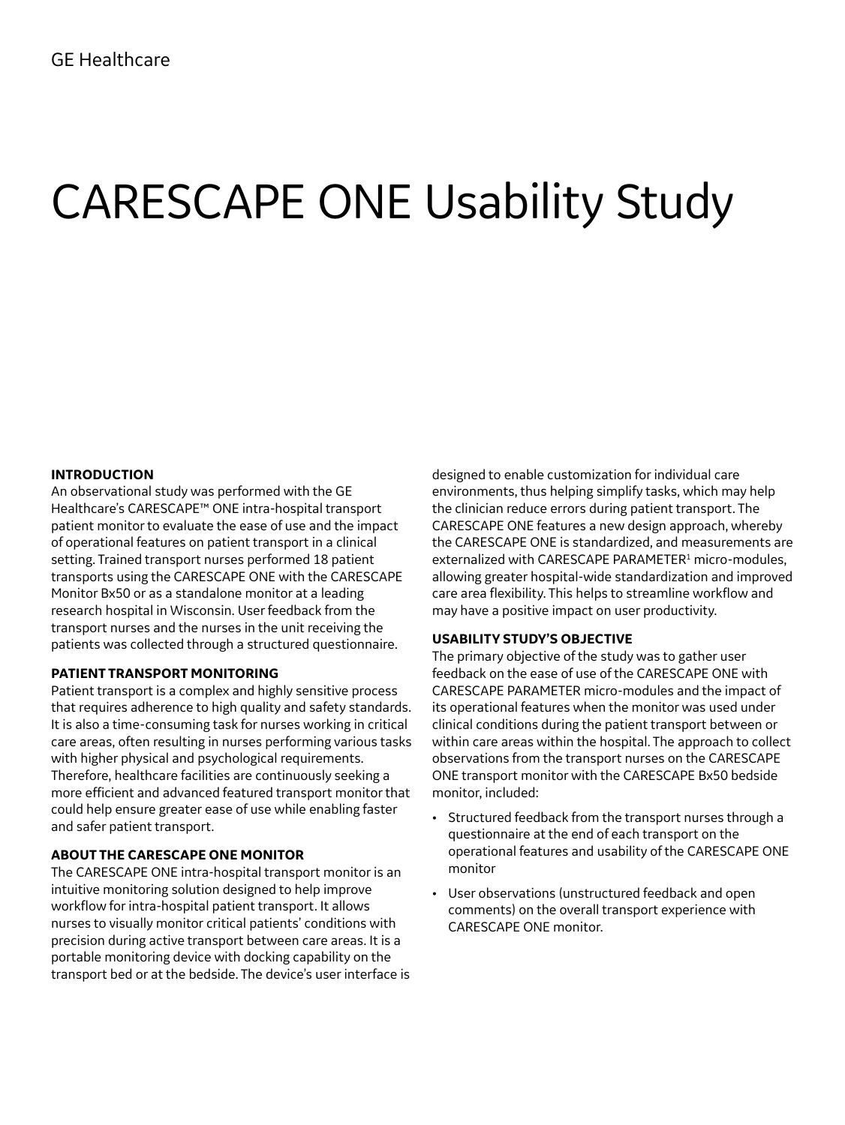# CARESCAPE ONE Usability Study

# **INTRODUCTION**

An observational study was performed with the GE Healthcare's CARESCAPE™ ONE intra-hospital transport patient monitor to evaluate the ease of use and the impact of operational features on patient transport in a clinical setting. Trained transport nurses performed 18 patient transports using the CARESCAPE ONE with the CARESCAPE Monitor Bx50 or as a standalone monitor at a leading research hospital in Wisconsin. User feedback from the transport nurses and the nurses in the unit receiving the patients was collected through a structured questionnaire.

# **PATIENT TRANSPORT MONITORING**

Patient transport is a complex and highly sensitive process that requires adherence to high quality and safety standards. It is also a time-consuming task for nurses working in critical care areas, often resulting in nurses performing various tasks with higher physical and psychological requirements. Therefore, healthcare facilities are continuously seeking a more efficient and advanced featured transport monitor that could help ensure greater ease of use while enabling faster and safer patient transport.

# **ABOUT THE CARESCAPE ONE MONITOR**

The CARESCAPE ONE intra-hospital transport monitor is an intuitive monitoring solution designed to help improve workflow for intra-hospital patient transport. It allows nurses to visually monitor critical patients' conditions with precision during active transport between care areas. It is a portable monitoring device with docking capability on the transport bed or at the bedside. The device's user interface is

designed to enable customization for individual care environments, thus helping simplify tasks, which may help the clinician reduce errors during patient transport. The CARESCAPE ONE features a new design approach, whereby the CARESCAPE ONE is standardized, and measurements are externalized with CARESCAPE PARAMETER<sup>1</sup> micro-modules, allowing greater hospital-wide standardization and improved care area flexibility. This helps to streamline workflow and may have a positive impact on user productivity.

#### **USABILITY STUDY'S OBJECTIVE**

The primary objective of the study was to gather user feedback on the ease of use of the CARESCAPE ONE with CARESCAPE PARAMETER micro-modules and the impact of its operational features when the monitor was used under clinical conditions during the patient transport between or within care areas within the hospital. The approach to collect observations from the transport nurses on the CARESCAPE ONE transport monitor with the CARESCAPE Bx50 bedside monitor, included:

- Structured feedback from the transport nurses through a questionnaire at the end of each transport on the operational features and usability of the CARESCAPE ONE monitor
- User observations (unstructured feedback and open comments) on the overall transport experience with CARESCAPE ONE monitor.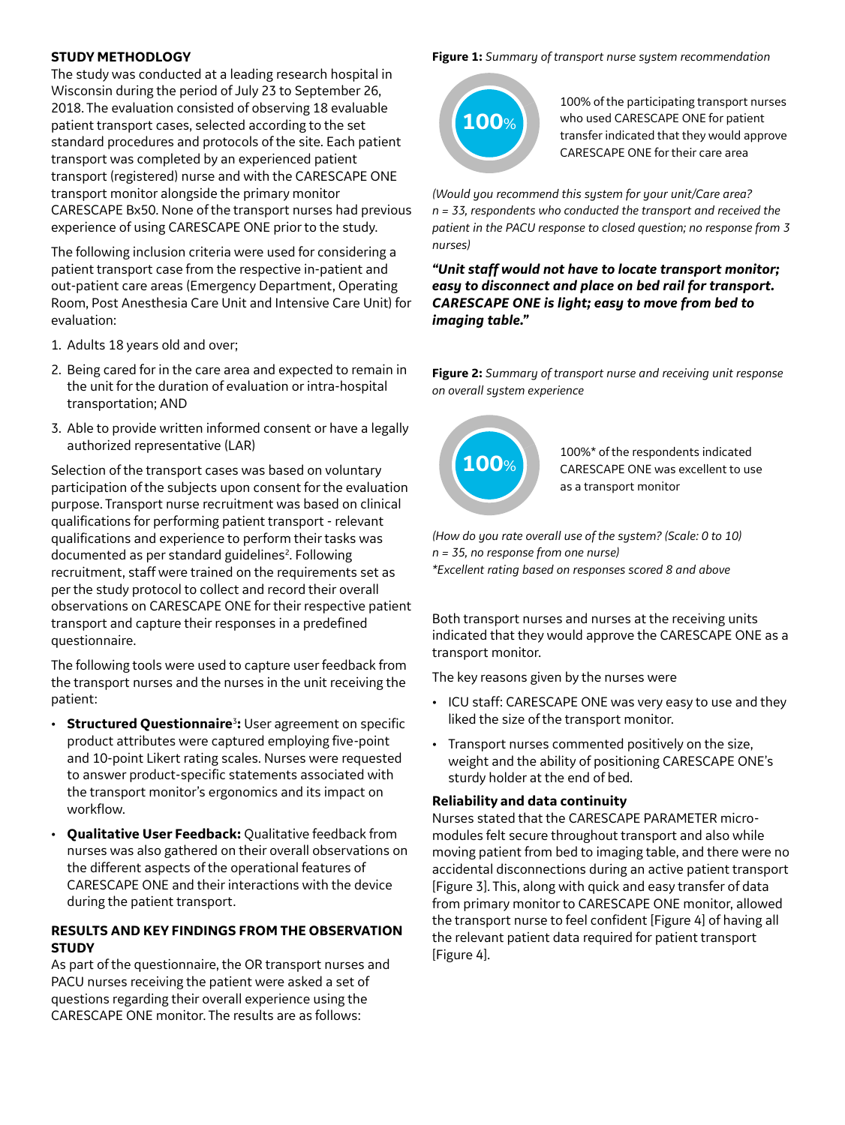# **STUDY METHODLOGY**

The study was conducted at a leading research hospital in Wisconsin during the period of July 23 to September 26, 2018. The evaluation consisted of observing 18 evaluable patient transport cases, selected according to the set standard procedures and protocols of the site. Each patient transport was completed by an experienced patient transport (registered) nurse and with the CARESCAPE ONE transport monitor alongside the primary monitor CARESCAPE Bx50. None of the transport nurses had previous experience of using CARESCAPE ONE prior to the study.

The following inclusion criteria were used for considering a patient transport case from the respective in-patient and out-patient care areas (Emergency Department, Operating Room, Post Anesthesia Care Unit and Intensive Care Unit) for evaluation:

- 1. Adults 18 years old and over;
- 2. Being cared for in the care area and expected to remain in the unit for the duration of evaluation or intra-hospital transportation; AND
- 3. Able to provide written informed consent or have a legally authorized representative (LAR)

Selection of the transport cases was based on voluntary participation of the subjects upon consent for the evaluation purpose. Transport nurse recruitment was based on clinical qualifications for performing patient transport - relevant qualifications and experience to perform their tasks was documented as per standard guidelines<sup>2</sup>. Following recruitment, staff were trained on the requirements set as per the study protocol to collect and record their overall observations on CARESCAPE ONE for their respective patient transport and capture their responses in a predefined questionnaire.

The following tools were used to capture user feedback from the transport nurses and the nurses in the unit receiving the patient:

- **· Structured Questionnaire<sup>3</sup>:** User agreement on specific product attributes were captured employing five-point and 10-point Likert rating scales. Nurses were requested to answer product-specific statements associated with the transport monitor's ergonomics and its impact on workflow.
- **Qualitative User Feedback:** Qualitative feedback from nurses was also gathered on their overall observations on the different aspects of the operational features of CARESCAPE ONE and their interactions with the device during the patient transport.

# **RESULTS AND KEY FINDINGS FROM THE OBSERVATION STUDY**

As part of the questionnaire, the OR transport nurses and PACU nurses receiving the patient were asked a set of questions regarding their overall experience using the CARESCAPE ONE monitor. The results are as follows:

#### **Figure 1:** *Summary of transport nurse system recommendation*



100% of the participating transport nurses who used CARESCAPE ONE for patient transfer indicated that they would approve CARESCAPE ONE for their care area

*(Would you recommend this system for your unit/Care area? n = 33, respondents who conducted the transport and received the patient in the PACU response to closed question; no response from 3 nurses)*

*"Unit staff would not have to locate transport monitor; easy to disconnect and place on bed rail for transport. CARESCAPE ONE is light; easy to move from bed to imaging table."*

**Figure 2:** *Summary of transport nurse and receiving unit response on overall system experience* 



100%\* of the respondents indicated CARESCAPE ONE was excellent to use as a transport monitor

*(How do you rate overall use of the system? (Scale: 0 to 10) n = 35, no response from one nurse) \*Excellent rating based on responses scored 8 and above* 

Both transport nurses and nurses at the receiving units indicated that they would approve the CARESCAPE ONE as a transport monitor.

The key reasons given by the nurses were

- ICU staff: CARESCAPE ONE was very easy to use and they liked the size of the transport monitor.
- Transport nurses commented positively on the size, weight and the ability of positioning CARESCAPE ONE's sturdy holder at the end of bed.

# **Reliability and data continuity**

Nurses stated that the CARESCAPE PARAMETER micromodules felt secure throughout transport and also while moving patient from bed to imaging table, and there were no accidental disconnections during an active patient transport [Figure 3]. This, along with quick and easy transfer of data from primary monitor to CARESCAPE ONE monitor, allowed the transport nurse to feel confident [Figure 4] of having all the relevant patient data required for patient transport [Figure 4].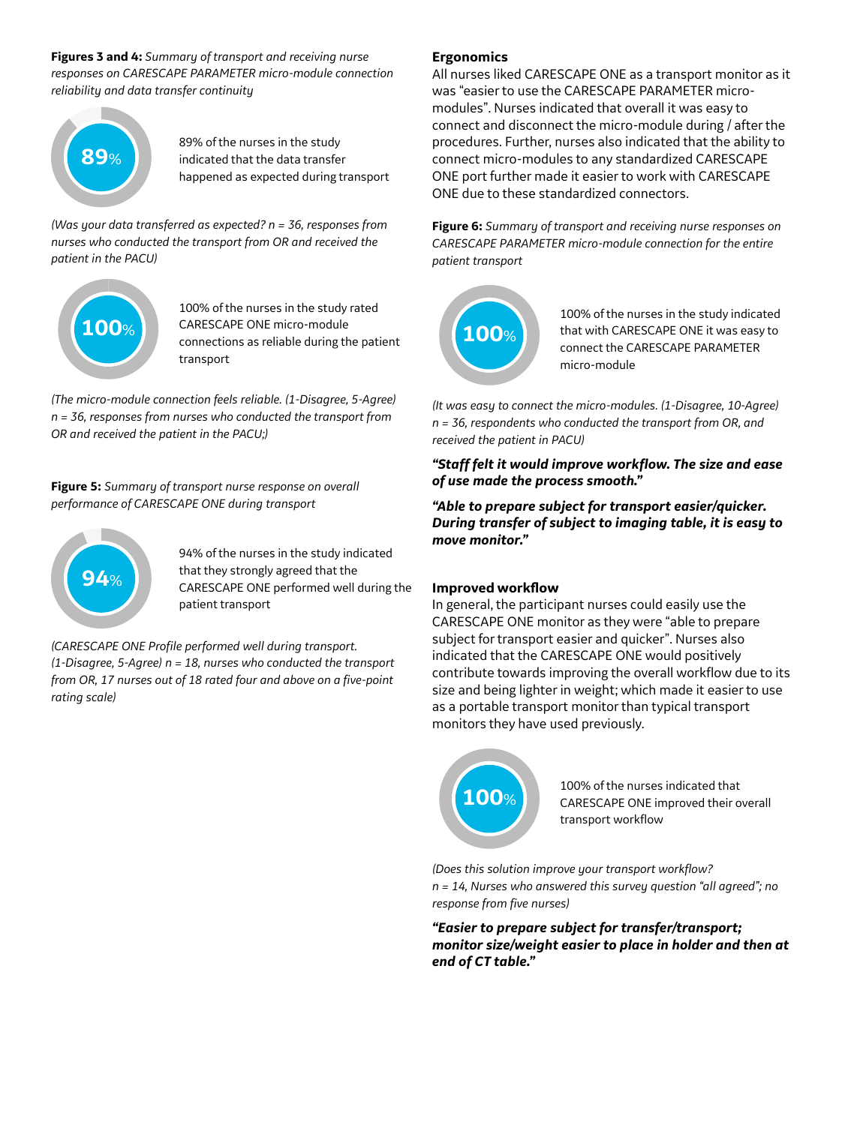**Figures 3 and 4:** *Summary of transport and receiving nurse responses on CARESCAPE PARAMETER micro-module connection reliability and data transfer continuity*



89% of the nurses in the study indicated that the data transfer happened as expected during transport

*(Was your data transferred as expected? n = 36, responses from nurses who conducted the transport from OR and received the patient in the PACU)*



100% of the nurses in the study rated CARESCAPE ONE micro-module connections as reliable during the patient transport

*(The micro-module connection feels reliable. (1-Disagree, 5-Agree) n = 36, responses from nurses who conducted the transport from OR and received the patient in the PACU;)*

**Figure 5:** *Summary of transport nurse response on overall performance of CARESCAPE ONE during transport*



94% of the nurses in the study indicated that they strongly agreed that the CARESCAPE ONE performed well during the patient transport

*(CARESCAPE ONE Profile performed well during transport. (1-Disagree, 5-Agree) n = 18, nurses who conducted the transport from OR, 17 nurses out of 18 rated four and above on a five-point rating scale)*

# **Ergonomics**

All nurses liked CARESCAPE ONE as a transport monitor as it was "easier to use the CARESCAPE PARAMETER micromodules". Nurses indicated that overall it was easy to connect and disconnect the micro-module during / after the procedures. Further, nurses also indicated that the ability to connect micro-modules to any standardized CARESCAPE ONE port further made it easier to work with CARESCAPE ONE due to these standardized connectors.

**Figure 6:** *Summary of transport and receiving nurse responses on CARESCAPE PARAMETER micro-module connection for the entire patient transport* 



100% of the nurses in the study indicated that with CARESCAPE ONE it was easy to connect the CARESCAPE PARAMETER micro-module

*(It was easy to connect the micro-modules. (1-Disagree, 10-Agree) n = 36, respondents who conducted the transport from OR, and received the patient in PACU)*

*"Staff felt it would improve workflow. The size and ease of use made the process smooth."*

*"Able to prepare subject for transport easier/quicker. During transfer of subject to imaging table, it is easy to move monitor."*

# **Improved workflow**

In general, the participant nurses could easily use the CARESCAPE ONE monitor as they were "able to prepare subject for transport easier and quicker". Nurses also indicated that the CARESCAPE ONE would positively contribute towards improving the overall workflow due to its size and being lighter in weight; which made it easier to use as a portable transport monitor than typical transport monitors they have used previously.

**100**%

100% of the nurses indicated that CARESCAPE ONE improved their overall transport workflow

*(Does this solution improve your transport workflow? n = 14, Nurses who answered this survey question "all agreed"; no response from five nurses)*

*"Easier to prepare subject for transfer/transport; monitor size/weight easier to place in holder and then at end of CT table."*